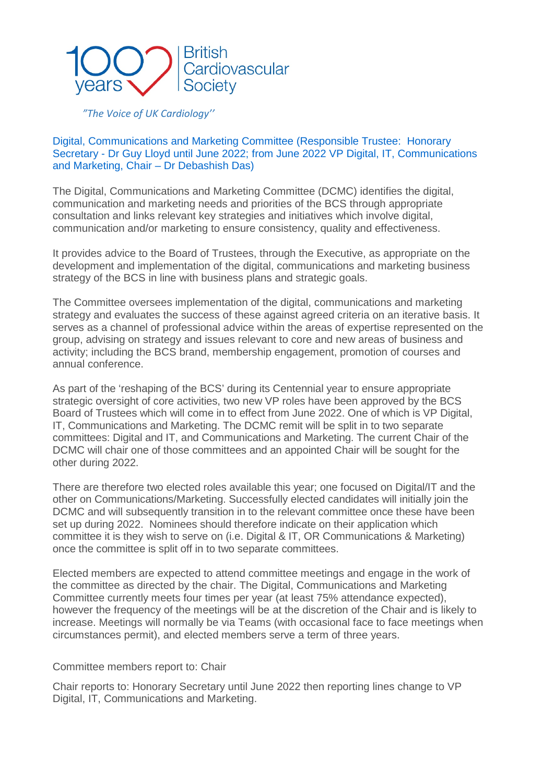

## *"The Voice of UK Cardiology''*

## Digital, Communications and Marketing Committee (Responsible Trustee: Honorary Secretary - Dr Guy Lloyd until June 2022; from June 2022 VP Digital, IT, Communications and Marketing, Chair – Dr Debashish Das)

The Digital, Communications and Marketing Committee (DCMC) identifies the digital, communication and marketing needs and priorities of the BCS through appropriate consultation and links relevant key strategies and initiatives which involve digital, communication and/or marketing to ensure consistency, quality and effectiveness.

It provides advice to the Board of Trustees, through the Executive, as appropriate on the development and implementation of the digital, communications and marketing business strategy of the BCS in line with business plans and strategic goals.

The Committee oversees implementation of the digital, communications and marketing strategy and evaluates the success of these against agreed criteria on an iterative basis. It serves as a channel of professional advice within the areas of expertise represented on the group, advising on strategy and issues relevant to core and new areas of business and activity; including the BCS brand, membership engagement, promotion of courses and annual conference.

As part of the 'reshaping of the BCS' during its Centennial year to ensure appropriate strategic oversight of core activities, two new VP roles have been approved by the BCS Board of Trustees which will come in to effect from June 2022. One of which is VP Digital, IT, Communications and Marketing. The DCMC remit will be split in to two separate committees: Digital and IT, and Communications and Marketing. The current Chair of the DCMC will chair one of those committees and an appointed Chair will be sought for the other during 2022.

There are therefore two elected roles available this year; one focused on Digital/IT and the other on Communications/Marketing. Successfully elected candidates will initially join the DCMC and will subsequently transition in to the relevant committee once these have been set up during 2022. Nominees should therefore indicate on their application which committee it is they wish to serve on (i.e. Digital & IT, OR Communications & Marketing) once the committee is split off in to two separate committees.

Elected members are expected to attend committee meetings and engage in the work of the committee as directed by the chair. The Digital, Communications and Marketing Committee currently meets four times per year (at least 75% attendance expected), however the frequency of the meetings will be at the discretion of the Chair and is likely to increase. Meetings will normally be via Teams (with occasional face to face meetings when circumstances permit), and elected members serve a term of three years.

## Committee members report to: Chair

Chair reports to: Honorary Secretary until June 2022 then reporting lines change to VP Digital, IT, Communications and Marketing.